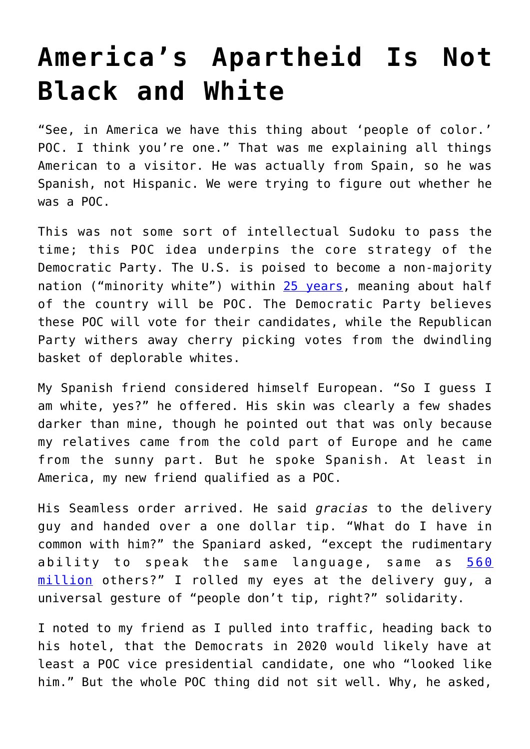## **[America's Apartheid Is Not](https://intellectualtakeout.org/2019/03/americas-apartheid-is-not-black-and-white/) [Black and White](https://intellectualtakeout.org/2019/03/americas-apartheid-is-not-black-and-white/)**

"See, in America we have this thing about 'people of color.' POC. I think you're one." That was me explaining all things American to a visitor. He was actually from Spain, so he was Spanish, not Hispanic. We were trying to figure out whether he was a POC.

This was not some sort of intellectual Sudoku to pass the time; this POC idea underpins the core strategy of the Democratic Party. The U.S. is poised to become a non-majority nation ("minority white") within [25 years](https://www.brookings.edu/blog/the-avenue/2018/03/14/the-us-will-become-minority-white-in-2045-census-projects/), meaning about half of the country will be POC. The Democratic Party believes these POC will vote for their candidates, while the Republican Party withers away cherry picking votes from the dwindling basket of deplorable whites.

My Spanish friend considered himself European. "So I guess I am white, yes?" he offered. His skin was clearly a few shades darker than mine, though he pointed out that was only because my relatives came from the cold part of Europe and he came from the sunny part. But he spoke Spanish. At least in America, my new friend qualified as a POC.

His Seamless order arrived. He said *gracias* to the delivery guy and handed over a one dollar tip. "What do I have in common with him?" the Spaniard asked, "except the rudimentary ability to speak the same language, same as [560](https://nypost.com/2015/06/29/us-has-more-spanish-speakers-than-spain/) [million](https://nypost.com/2015/06/29/us-has-more-spanish-speakers-than-spain/) others?" I rolled my eyes at the delivery guy, a universal gesture of "people don't tip, right?" solidarity.

I noted to my friend as I pulled into traffic, heading back to his hotel, that the Democrats in 2020 would likely have at least a POC vice presidential candidate, one who "looked like him." But the whole POC thing did not sit well. Why, he asked,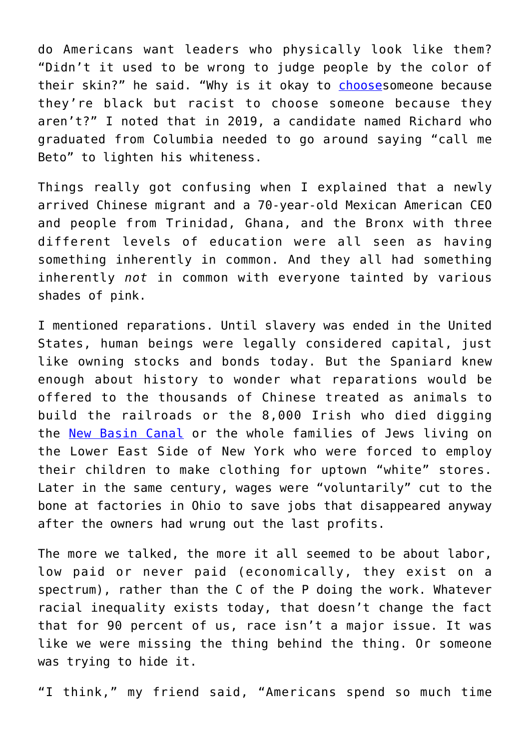do Americans want leaders who physically look like them? "Didn't it used to be wrong to judge people by the color of their skin?" he said. "Why is it okay to [chooses](https://dailycaller.com/2019/03/18/white-men-dominate-democratic-presidential-field/)omeone because they're black but racist to choose someone because they aren't?" I noted that in 2019, a candidate named Richard who graduated from Columbia needed to go around saying "call me Beto" to lighten his whiteness.

Things really got confusing when I explained that a newly arrived Chinese migrant and a 70-year-old Mexican American CEO and people from Trinidad, Ghana, and the Bronx with three different levels of education were all seen as having something inherently in common. And they all had something inherently *not* in common with everyone tainted by various shades of pink.

I mentioned reparations. Until slavery was ended in the United States, human beings were legally considered capital, just like owning stocks and bonds today. But the Spaniard knew enough about history to wonder what reparations would be offered to the thousands of Chinese treated as animals to build the railroads or the 8,000 Irish who died digging the [New Basin Canal](https://www.irishcentral.com/news/8000-irish-died-while-building-the-new-basin-canal-in-new-orleans-231020191-237786681) or the whole families of Jews living on the Lower East Side of New York who were forced to employ their children to make clothing for uptown "white" stores. Later in the same century, wages were "voluntarily" cut to the bone at factories in Ohio to save jobs that disappeared anyway after the owners had wrung out the last profits.

The more we talked, the more it all seemed to be about labor, low paid or never paid (economically, they exist on a spectrum), rather than the C of the P doing the work. Whatever racial inequality exists today, that doesn't change the fact that for 90 percent of us, race isn't a major issue. It was like we were missing the thing behind the thing. Or someone was trying to hide it.

"I think," my friend said, "Americans spend so much time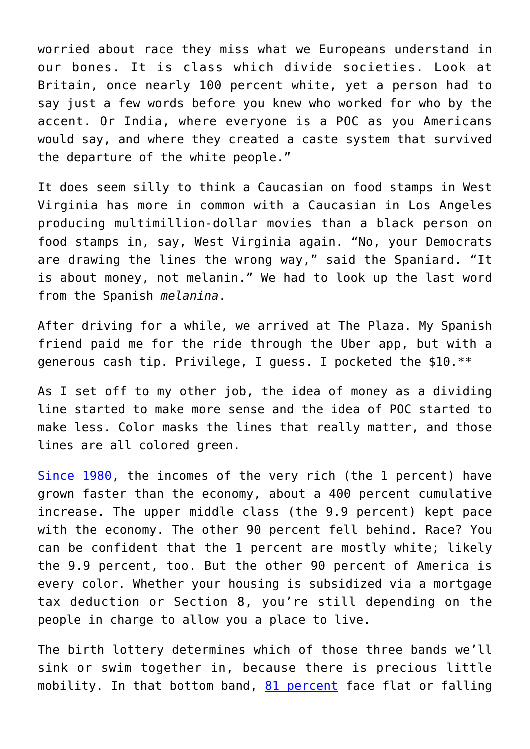worried about race they miss what we Europeans understand in our bones. It is class which divide societies. Look at Britain, once nearly 100 percent white, yet a person had to say just a few words before you knew who worked for who by the accent. Or India, where everyone is a POC as you Americans would say, and where they created a caste system that survived the departure of the white people."

It does seem silly to think a Caucasian on food stamps in West Virginia has more in common with a Caucasian in Los Angeles producing multimillion-dollar movies than a black person on food stamps in, say, West Virginia again. "No, your Democrats are drawing the lines the wrong way," said the Spaniard. "It is about money, not melanin." We had to look up the last word from the Spanish *melanina*.

After driving for a while, we arrived at The Plaza. My Spanish friend paid me for the ride through the Uber app, but with a generous cash tip. Privilege, I guess. I pocketed the \$10.\*\*

As I set off to my other job, the idea of money as a dividing line started to make more sense and the idea of POC started to make less. Color masks the lines that really matter, and those lines are all colored green.

[Since 1980,](https://www.nytimes.com/2019/02/24/opinion/income-inequality-upper-middle-class.html?action=click&module=Opinion&pgtype=Homepage) the incomes of the very rich (the 1 percent) have grown faster than the economy, about a 400 percent cumulative increase. The upper middle class (the 9.9 percent) kept pace with the economy. The other 90 percent fell behind. Race? You can be confident that the 1 percent are mostly white; likely the 9.9 percent, too. But the other 90 percent of America is every color. Whether your housing is subsidized via a mortgage tax deduction or Section 8, you're still depending on the people in charge to allow you a place to live.

The birth lottery determines which of those three bands we'll sink or swim together in, because there is precious little mobility. In that bottom band, [81 percent](http://www.mckinsey.com/global-themes/employment-and-growth/poorer-than-their-parents-a-new-perspective-on-income-inequality) face flat or falling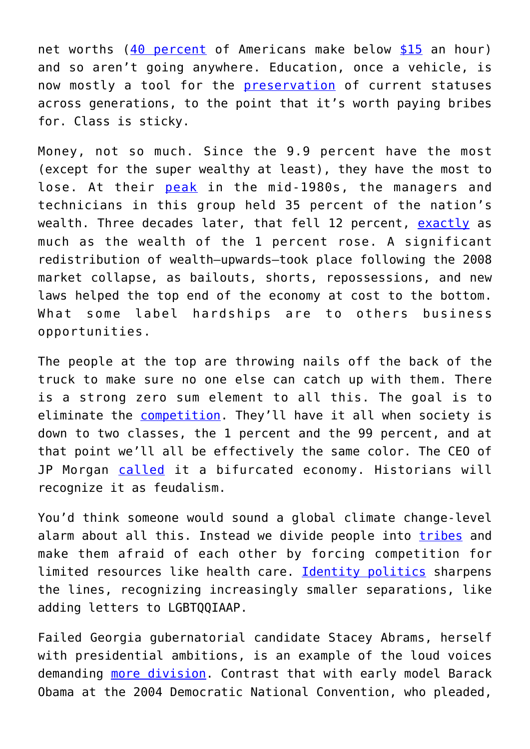net worths ([40 percent](https://www.cnbc.com/2019/03/18/jamie-dimon-says-weve-split-the-us-economy-leaving-the-poor-behind.html?fbclid=IwAR2DfRkHWQmaxS8UbJ2RtCi7lNU4ZzKb0hXI5cYwsshhw9vcgmuQlYU_jHE) of Americans make below [\\$15](https://wemeantwell.com/blog/2016/02/20/you-cant-earn-a-living-on-the-minimum-wage/) an hour) and so aren't going anywhere. Education, once a vehicle, is now mostly a tool for the [preservation](https://amzn.to/2ucKzdm) of current statuses across generations, to the point that it's worth paying bribes for. Class is sticky.

Money, not so much. Since the 9.9 percent have the most (except for the super wealthy at least), they have the most to lose. At their [peak](https://www.epi.org/publication/the-new-gilded-age-income-inequality-in-the-u-s-by-state-metropolitan-area-and-county/) in the mid-1980s, the managers and technicians in this group held 35 percent of the nation's wealth. Three decades later, that fell 12 percent, [exactly](https://www.theatlantic.com/magazine/archive/2018/06/the-birth-of-a-new-american-aristocracy/559130/) as much as the wealth of the 1 percent rose. A significant redistribution of wealth—upwards—took place following the 2008 market collapse, as bailouts, shorts, repossessions, and new laws helped the top end of the economy at cost to the bottom. What some label hardships are to others business opportunities.

The people at the top are throwing nails off the back of the truck to make sure no one else can catch up with them. There is a strong zero sum element to all this. The goal is to eliminate the [competition.](https://bryanalexander.org/research-topics/building-an-american-caste-system-part-2-the-9/) They'll have it all when society is down to two classes, the 1 percent and the 99 percent, and at that point we'll all be effectively the same color. The CEO of JP Morgan [called](https://www.cnbc.com/2019/03/18/jamie-dimon-says-weve-split-the-us-economy-leaving-the-poor-behind.html?fbclid=IwAR2DfRkHWQmaxS8UbJ2RtCi7lNU4ZzKb0hXI5cYwsshhw9vcgmuQlYU_jHE) it a bifurcated economy. Historians will recognize it as feudalism.

You'd think someone would sound a global climate change-level alarm about all this. Instead we divide people into [tribes](https://www.theguardian.com/society/2018/mar/01/how-americas-identity-politics-went-from-inclusion-to-division) and make them afraid of each other by forcing competition for limited resources like health care. [Identity politics](https://amzn.to/2W78eaT) sharpens the lines, recognizing increasingly smaller separations, like adding letters to LGBTQQIAAP.

Failed Georgia gubernatorial candidate Stacey Abrams, herself with presidential ambitions, is an example of the loud voices demanding [more division.](https://www.foreignaffairs.com/articles/2019-02-01/stacey-abrams-response-to-francis-fukuyama-identity-politics-article) Contrast that with early model Barack Obama at the 2004 Democratic National Convention, who pleaded,